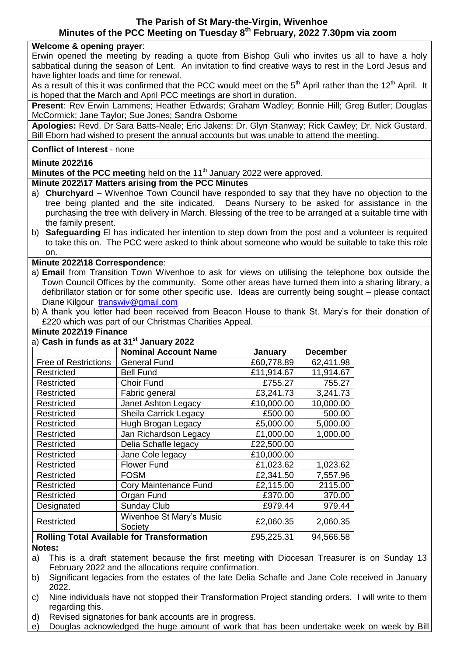## **The Parish of St Mary-the-Virgin, Wivenhoe Minutes of the PCC Meeting on Tuesday 8 th February, 2022 7.30pm via zoom**

#### **Welcome & opening prayer**:

Erwin opened the meeting by reading a quote from Bishop Guli who invites us all to have a holy sabbatical during the season of Lent. An invitation to find creative ways to rest in the Lord Jesus and have lighter loads and time for renewal.

As a result of this it was confirmed that the PCC would meet on the  $5<sup>th</sup>$  April rather than the 12<sup>th</sup> April. It is hoped that the March and April PCC meetings are short in duration.

**Present**: Rev Erwin Lammens; Heather Edwards; Graham Wadley; Bonnie Hill; Greg Butler; Douglas McCormick; Jane Taylor; Sue Jones; Sandra Osborne

**Apologies:** Revd. Dr Sara Batts-Neale; Eric Jakens; Dr. Glyn Stanway; Rick Cawley; Dr. Nick Gustard. Bill Eborn had wished to present the annual accounts but was unable to attend the meeting.

#### **Conflict of Interest** - none

#### **Minute 2022\16**

**Minutes of the PCC meeting** held on the 11<sup>th</sup> January 2022 were approved.

#### **Minute 2022\17 Matters arising from the PCC Minutes**

- a) **Churchyard** Wivenhoe Town Council have responded to say that they have no objection to the tree being planted and the site indicated. Deans Nursery to be asked for assistance in the purchasing the tree with delivery in March. Blessing of the tree to be arranged at a suitable time with the family present.
- b) **Safeguarding** El has indicated her intention to step down from the post and a volunteer is required to take this on. The PCC were asked to think about someone who would be suitable to take this role on.

## **Minute 2022\18 Correspondence**:

- a) **Email** from Transition Town Wivenhoe to ask for views on utilising the telephone box outside the Town Council Offices by the community. Some other areas have turned them into a sharing library, a defibrillator station or for some other specific use. Ideas are currently being sought – please contact Diane Kilgour [transwiv@gmail.com](mailto:transwiv@gmail.com)
- b) A thank you letter had been received from Beacon House to thank St. Mary's for their donation of £220 which was part of our Christmas Charities Appeal.

#### **Minute 2022\19 Finance**

| a) Cash in funds as at 31 <sup>st</sup> January 2022 |                                     |            |                 |
|------------------------------------------------------|-------------------------------------|------------|-----------------|
|                                                      | <b>Nominal Account Name</b>         | January    | <b>December</b> |
| <b>Free of Restrictions</b>                          | <b>General Fund</b>                 | £60,778.89 | 62,411.98       |
| Restricted                                           | <b>Bell Fund</b>                    | £11,914.67 | 11,914.67       |
| Restricted                                           | Choir Fund                          | £755.27    | 755.27          |
| Restricted                                           | Fabric general                      | £3,241.73  | 3,241.73        |
| Restricted                                           | Janet Ashton Legacy                 | £10,000.00 | 10,000.00       |
| Restricted                                           | <b>Sheila Carrick Legacy</b>        | £500.00    | 500.00          |
| Restricted                                           | Hugh Brogan Legacy                  | £5,000.00  | 5,000.00        |
| Restricted                                           | Jan Richardson Legacy               | £1,000.00  | 1,000.00        |
| Restricted                                           | Delia Schafle legacy                | £22,500.00 |                 |
| Restricted                                           | Jane Cole legacy                    | £10,000.00 |                 |
| Restricted                                           | <b>Flower Fund</b>                  | £1,023.62  | 1,023.62        |
| Restricted                                           | <b>FOSM</b>                         | £2,341.50  | 7,557.96        |
| Restricted                                           | Cory Maintenance Fund               | £2,115.00  | 2115.00         |
| Restricted                                           | Organ Fund                          | £370.00    | 370.00          |
| Designated                                           | <b>Sunday Club</b>                  | £979.44    | 979.44          |
| Restricted                                           | Wivenhoe St Mary's Music<br>Society | £2,060.35  | 2,060.35        |
| <b>Rolling Total Available for Transformation</b>    |                                     | £95,225.31 | 94,566.58       |

#### **Notes:**

- a) This is a draft statement because the first meeting with Diocesan Treasurer is on Sunday 13 February 2022 and the allocations require confirmation.
- b) Significant legacies from the estates of the late Delia Schafle and Jane Cole received in January 2022.
- c) Nine individuals have not stopped their Transformation Project standing orders. I will write to them regarding this.
- d) Revised signatories for bank accounts are in progress.
- e) Douglas acknowledged the huge amount of work that has been undertake week on week by Bill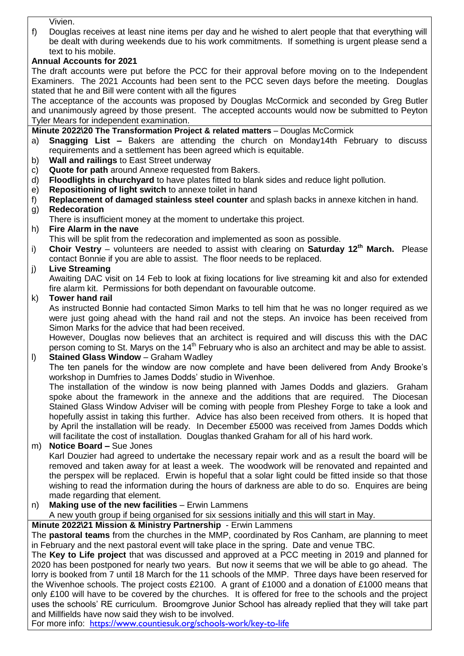Vivien.

f) Douglas receives at least nine items per day and he wished to alert people that that everything will be dealt with during weekends due to his work commitments. If something is urgent please send a text to his mobile.

## **Annual Accounts for 2021**

The draft accounts were put before the PCC for their approval before moving on to the Independent Examiners. The 2021 Accounts had been sent to the PCC seven days before the meeting. Douglas stated that he and Bill were content with all the figures

The acceptance of the accounts was proposed by Douglas McCormick and seconded by Greg Butler and unanimously agreed by those present. The accepted accounts would now be submitted to Peyton Tyler Mears for independent examination.

#### **Minute 2022\20 The Transformation Project & related matters** – Douglas McCormick

- a) **Snagging List –** Bakers are attending the church on Monday14th February to discuss requirements and a settlement has been agreed which is equitable.
- b) **Wall and railings** to East Street underway
- c) **Quote for path** around Annexe requested from Bakers.
- d) **Floodlights in churchyard** to have plates fitted to blank sides and reduce light pollution.
- e) **Repositioning of light switch** to annexe toilet in hand
- f) **Replacement of damaged stainless steel counter** and splash backs in annexe kitchen in hand.

## g) **Redecoration**

There is insufficient money at the moment to undertake this project.

h) **Fire Alarm in the nave** 

This will be split from the redecoration and implemented as soon as possible.

i) **Choir Vestry** – volunteers are needed to assist with clearing on **Saturday 12th March.** Please contact Bonnie if you are able to assist. The floor needs to be replaced.

## j) **Live Streaming**

Awaiting DAC visit on 14 Feb to look at fixing locations for live streaming kit and also for extended fire alarm kit. Permissions for both dependant on favourable outcome.

## k) **Tower hand rail**

As instructed Bonnie had contacted Simon Marks to tell him that he was no longer required as we were just going ahead with the hand rail and not the steps. An invoice has been received from Simon Marks for the advice that had been received.

However, Douglas now believes that an architect is required and will discuss this with the DAC person coming to St. Marys on the  $14<sup>th</sup>$  February who is also an architect and may be able to assist.

## l) **Stained Glass Window** – Graham Wadley

The ten panels for the window are now complete and have been delivered from Andy Brooke's workshop in Dumfries to James Dodds' studio in Wivenhoe.

The installation of the window is now being planned with James Dodds and glaziers. Graham spoke about the framework in the annexe and the additions that are required. The Diocesan Stained Glass Window Adviser will be coming with people from Pleshey Forge to take a look and hopefully assist in taking this further. Advice has also been received from others. It is hoped that by April the installation will be ready. In December £5000 was received from James Dodds which will facilitate the cost of installation. Douglas thanked Graham for all of his hard work.

- m) **Notice Board –** Sue Jones Karl Douzier had agreed to undertake the necessary repair work and as a result the board will be removed and taken away for at least a week. The woodwork will be renovated and repainted and the perspex will be replaced. Erwin is hopeful that a solar light could be fitted inside so that those wishing to read the information during the hours of darkness are able to do so. Enquires are being made regarding that element.
- n) **Making use of the new facilities** Erwin Lammens

A new youth group if being organised for six sessions initially and this will start in May.

## **Minute 2022\21 Mission & Ministry Partnership** - Erwin Lammens

The **pastoral teams** from the churches in the MMP, coordinated by Ros Canham, are planning to meet in February and the next pastoral event will take place in the spring. Date and venue TBC.

The **Key to Life project** that was discussed and approved at a PCC meeting in 2019 and planned for 2020 has been postponed for nearly two years. But now it seems that we will be able to go ahead. The lorry is booked from 7 until 18 March for the 11 schools of the MMP. Three days have been reserved for the Wivenhoe schools. The project costs £2100. A grant of £1000 and a donation of £1000 means that only £100 will have to be covered by the churches. It is offered for free to the schools and the project uses the schools' RE curriculum. Broomgrove Junior School has already replied that they will take part and Millfields have now said they wish to be involved.

For more info: <https://www.countiesuk.org/schools-work/key-to-life>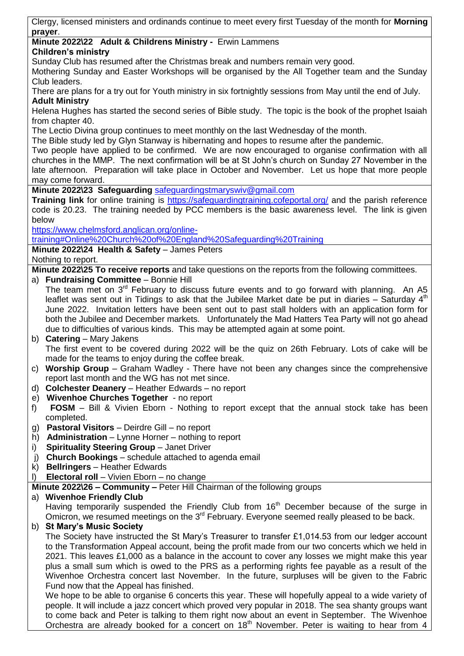Clergy, licensed ministers and ordinands continue to meet every first Tuesday of the month for **Morning prayer**.

#### **Minute 2022\22 Adult & Childrens Ministry -** Erwin Lammens **Children's ministry**

Sunday Club has resumed after the Christmas break and numbers remain very good.

Mothering Sunday and Easter Workshops will be organised by the All Together team and the Sunday Club leaders.

There are plans for a try out for Youth ministry in six fortnightly sessions from May until the end of July. **Adult Ministry**

Helena Hughes has started the second series of Bible study. The topic is the book of the prophet Isaiah from chapter 40.

The Lectio Divina group continues to meet monthly on the last Wednesday of the month.

The Bible study led by Glyn Stanway is hibernating and hopes to resume after the pandemic.

Two people have applied to be confirmed. We are now encouraged to organise confirmation with all churches in the MMP. The next confirmation will be at St John's church on Sunday 27 November in the late afternoon. Preparation will take place in October and November. Let us hope that more people may come forward.

**Minute 2022\23 Safeguarding** [safeguardingstmaryswiv@gmail.com](mailto:safeguardingstmaryswiv@gmail.com)

**Training link** for online training is<https://safeguardingtraining.cofeportal.org/> and the parish reference code is 20.23. The training needed by PCC members is the basic awareness level. The link is given below

[https://www.chelmsford.anglican.org/online-](https://www.chelmsford.anglican.org/online-training#Online%20Church%20of%20England%20Safeguarding%20Training)

[training#Online%20Church%20of%20England%20Safeguarding%20Training](https://www.chelmsford.anglican.org/online-training#Online%20Church%20of%20England%20Safeguarding%20Training)

**Minute 2022\24 Health & Safety** – James Peters

Nothing to report.

**Minute 2022\25 To receive reports** and take questions on the reports from the following committees.

a) **Fundraising Committee** – Bonnie Hill

The team met on  $3<sup>rd</sup>$  February to discuss future events and to go forward with planning. An A5 leaflet was sent out in Tidings to ask that the Jubilee Market date be put in diaries  $-$  Saturday  $4<sup>th</sup>$ June 2022. Invitation letters have been sent out to past stall holders with an application form for both the Jubilee and December markets. Unfortunately the Mad Hatters Tea Party will not go ahead due to difficulties of various kinds. This may be attempted again at some point.

# b) **Catering** – Mary Jakens

The first event to be covered during 2022 will be the quiz on 26th February. Lots of cake will be made for the teams to enjoy during the coffee break.

- c) **Worship Group** Graham Wadley There have not been any changes since the comprehensive report last month and the WG has not met since.
- d) **Colchester Deanery** Heather Edwards no report
- e) **Wivenhoe Churches Together** no report
- f) **FOSM** Bill & Vivien Eborn Nothing to report except that the annual stock take has been completed.
- g) **Pastoral Visitors** Deirdre Gill no report
- h) **Administration** Lynne Horner nothing to report
- i) **Spirituality Steering Group** Janet Driver
- j) **Church Bookings** schedule attached to agenda email
- k) **Bellringers** Heather Edwards
- l) **Electoral roll** Vivien Eborn no change

**Minute 2022\26 – Community –** Peter Hill Chairman of the following groups

## a) **Wivenhoe Friendly Club**

Having temporarily suspended the Friendly Club from 16<sup>th</sup> December because of the surge in Omicron, we resumed meetings on the 3<sup>rd</sup> February. Everyone seemed really pleased to be back.

## b) **St Mary's Music Society**

The Society have instructed the St Mary's Treasurer to transfer £1,014.53 from our ledger account to the Transformation Appeal account, being the profit made from our two concerts which we held in 2021. This leaves £1,000 as a balance in the account to cover any losses we might make this year plus a small sum which is owed to the PRS as a performing rights fee payable as a result of the Wivenhoe Orchestra concert last November. In the future, surpluses will be given to the Fabric Fund now that the Appeal has finished.

We hope to be able to organise 6 concerts this year. These will hopefully appeal to a wide variety of people. It will include a jazz concert which proved very popular in 2018. The sea shanty groups want to come back and Peter is talking to them right now about an event in September. The Wivenhoe Orchestra are already booked for a concert on 18<sup>th</sup> November. Peter is waiting to hear from 4